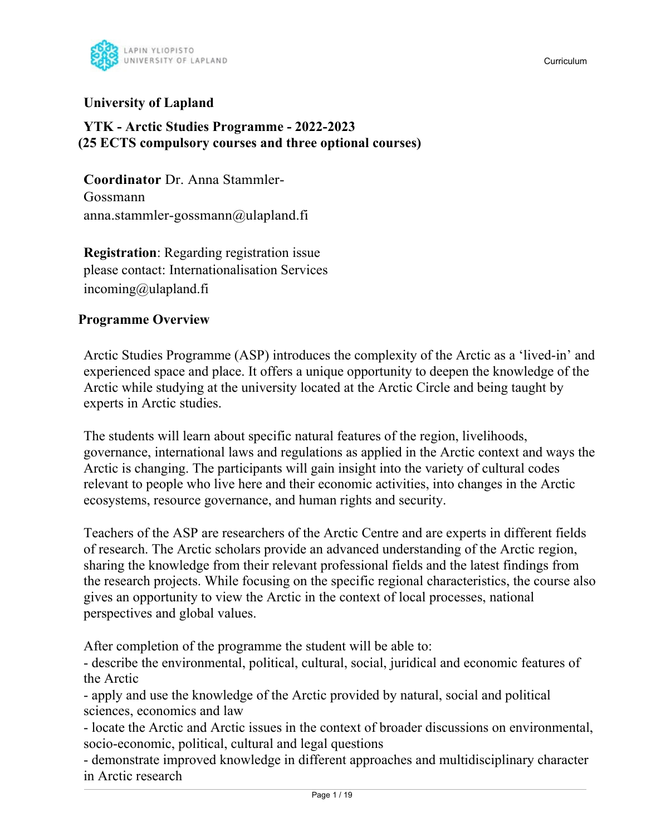

### **University of Lapland**

### **YTK - Arctic Studies Programme - 2022-2023 (25 ECTS compulsory courses and three optional courses)**

**Coordinator** Dr. Anna Stammler-Gossmann anna.stammler-gossmann@ulapland.fi

**Registration**: Regarding registration issue please contact: Internationalisation Services incoming@ulapland.fi

### **Programme Overview**

Arctic Studies Programme (ASP) introduces the complexity of the Arctic as a 'lived-in' and experienced space and place. It offers a unique opportunity to deepen the knowledge of the Arctic while studying at the university located at the Arctic Circle and being taught by experts in Arctic studies.

The students will learn about specific natural features of the region, livelihoods, governance, international laws and regulations as applied in the Arctic context and ways the Arctic is changing. The participants will gain insight into the variety of cultural codes relevant to people who live here and their economic activities, into changes in the Arctic ecosystems, resource governance, and human rights and security.

Teachers of the ASP are researchers of the Arctic Centre and are experts in different fields of research. The Arctic scholars provide an advanced understanding of the Arctic region, sharing the knowledge from their relevant professional fields and the latest findings from the research projects. While focusing on the specific regional characteristics, the course also gives an opportunity to view the Arctic in the context of local processes, national perspectives and global values.

After completion of the programme the student will be able to:

- describe the environmental, political, cultural, social, juridical and economic features of the Arctic

- apply and use the knowledge of the Arctic provided by natural, social and political sciences, economics and law

- locate the Arctic and Arctic issues in the context of broader discussions on environmental, socio-economic, political, cultural and legal questions

- demonstrate improved knowledge in different approaches and multidisciplinary character in Arctic research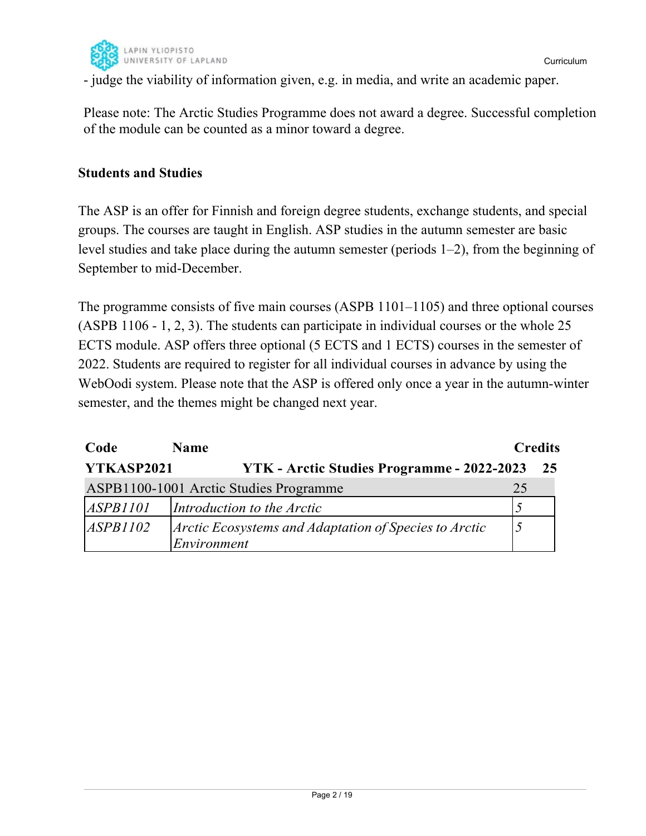

- judge the viability of information given, e.g. in media, and write an academic paper.

Please note: The Arctic Studies Programme does not award a degree. Successful completion of the module can be counted as a minor toward a degree.

### **Students and Studies**

The ASP is an offer for Finnish and foreign degree students, exchange students, and special groups. The courses are taught in English. ASP studies in the autumn semester are basic level studies and take place during the autumn semester (periods 1–2), from the beginning of September to mid-December.

The programme consists of five main courses (ASPB 1101–1105) and three optional courses (ASPB 1106 - 1, 2, 3). The students can participate in individual courses or the whole 25 ECTS module. ASP offers three optional (5 ECTS and 1 ECTS) courses in the semester of 2022. Students are required to register for all individual courses in advance by using the WebOodi system. Please note that the ASP is offered only once a year in the autumn-winter semester, and the themes might be changed next year.

| Code            | <b>Name</b>                                                          | <b>Credits</b> |      |
|-----------------|----------------------------------------------------------------------|----------------|------|
| YTKASP2021      | YTK - Arctic Studies Programme - 2022-2023                           |                | - 25 |
|                 | ASPB1100-1001 Arctic Studies Programme                               | 25             |      |
| <i>ASPB1101</i> | Introduction to the Arctic                                           |                |      |
| <i>ASPB1102</i> | Arctic Ecosystems and Adaptation of Species to Arctic<br>Environment |                |      |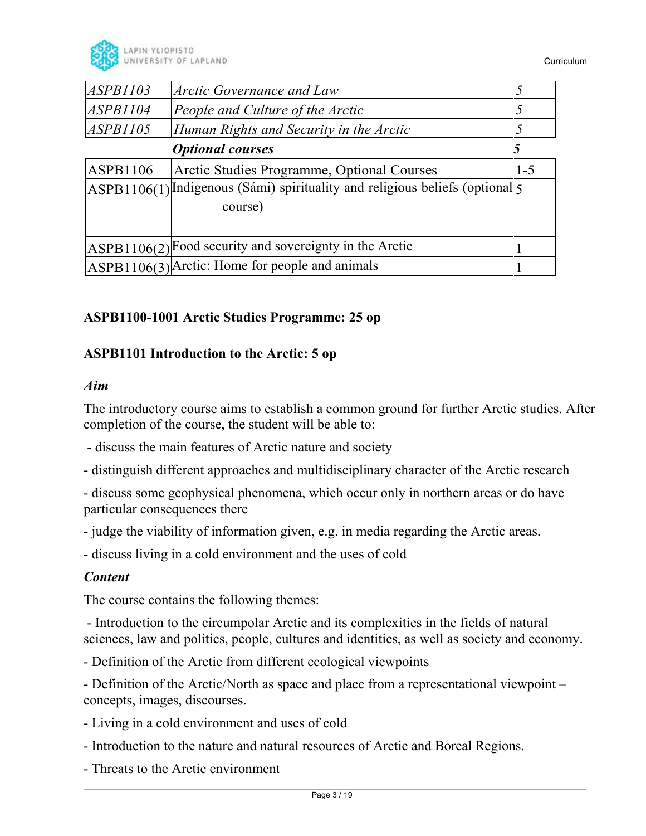

| ASPB1103                | Arctic Governance and Law                                                      |         |
|-------------------------|--------------------------------------------------------------------------------|---------|
| ASPB1104                | People and Culture of the Arctic                                               |         |
| <i>ASPB1105</i>         | Human Rights and Security in the Arctic                                        |         |
| <b>Optional courses</b> |                                                                                |         |
| ASPB1106                | Arctic Studies Programme, Optional Courses                                     | $1 - 5$ |
|                         | ASPB1106(1) Indigenous (Sámi) spirituality and religious beliefs (optional $5$ |         |
|                         | course)                                                                        |         |
|                         |                                                                                |         |
|                         | ASPB1106(2) Food security and sovereignty in the Arctic                        |         |
|                         | ASPB1106(3) Arctic: Home for people and animals                                |         |

### **ASPB1100-1001 Arctic Studies Programme: 25 op**

### **ASPB1101 Introduction to the Arctic: 5 op**

### *Aim*

The introductory course aims to establish a common ground for further Arctic studies. After completion of the course, the student will be able to:

- discuss the main features of Arctic nature and society
- distinguish different approaches and multidisciplinary character of the Arctic research
- discuss some geophysical phenomena, which occur only in northern areas or do have particular consequences there
- judge the viability of information given, e.g. in media regarding the Arctic areas.

- discuss living in a cold environment and the uses of cold

### *Content*

The course contains the following themes:

 - Introduction to the circumpolar Arctic and its complexities in the fields of natural sciences, law and politics, people, cultures and identities, as well as society and economy.

- Definition of the Arctic from different ecological viewpoints

- Definition of the Arctic/North as space and place from a representational viewpoint – concepts, images, discourses.

- Living in a cold environment and uses of cold
- Introduction to the nature and natural resources of Arctic and Boreal Regions.
- Threats to the Arctic environment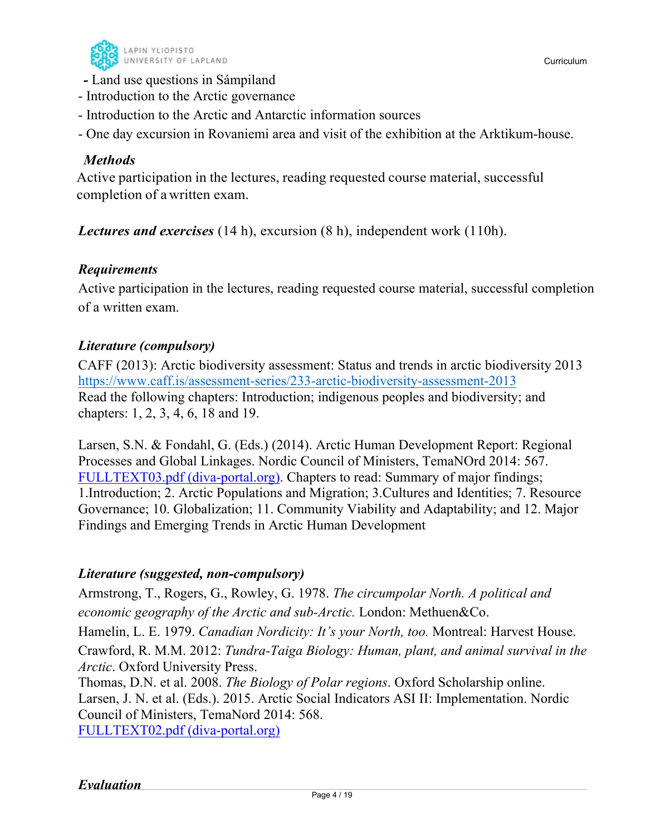

- Introduction to the Arctic governance
- Introduction to the Arctic and Antarctic information sources
- One day excursion in Rovaniemi area and visit of the exhibition at the Arktikum-house.

### *Methods*

Active participation in the lectures, reading requested course material, successful completion of a written exam.

*Lectures and exercises* (14 h), excursion (8 h), independent work (110h).

### *Requirements*

Active participation in the lectures, reading requested course material, successful completion of a written exam.

### *Literature (compulsory)*

CAFF (2013): Arctic biodiversity assessment: Status and trends in arctic biodiversity 2013 https://www.caff.is/assessment-series/233-arctic-biodiversity-assessment-2013 Read the following chapters: Introduction; indigenous peoples and biodiversity; and chapters: 1, 2, 3, 4, 6, 18 and 19.

Larsen, S.N. & Fondahl, G. (Eds.) (2014). Arctic Human Development Report: Regional Processes and Global Linkages. Nordic Council of Ministers, TemaNOrd 2014: 567. FULLTEXT03.pdf (diva-portal.org). Chapters to read: Summary of major findings; 1.Introduction; 2. Arctic Populations and Migration; 3.Cultures and Identities; 7. Resource Governance; 10. Globalization; 11. Community Viability and Adaptability; and 12. Major Findings and Emerging Trends in Arctic Human Development

### *Literature (suggested, non-compulsory)*

Armstrong, T., Rogers, G., Rowley, G. 1978. *The circumpolar North. A political and economic geography of the Arctic and sub-Arctic.* London: Methuen&Co.

Hamelin, L. E. 1979. *Canadian Nordicity: It's your North, too.* Montreal: Harvest House.

Crawford, R. M.M. 2012: *Tundra-Taiga Biology: Human, plant, and animal survival in the Arctic*. Oxford University Press.

Thomas, D.N. et al. 2008. *The Biology of Polar regions*. Oxford Scholarship online. Larsen, J. N. et al. (Eds.). 2015. Arctic Social Indicators ASI II: Implementation. Nordic Council of Ministers, TemaNord 2014: 568. FULLTEXT02.pdf (diva-portal.org)

*Evaluation*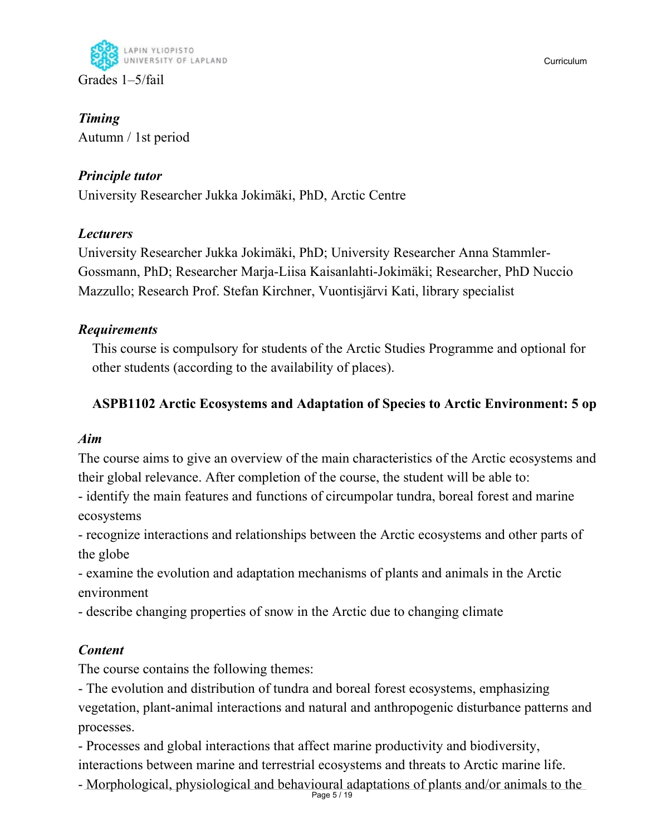

*Timing*  Autumn / 1st period

# *Principle tutor*

University Researcher Jukka Jokimäki, PhD, Arctic Centre

# *Lecturers*

University Researcher Jukka Jokimäki, PhD; University Researcher Anna Stammler-Gossmann, PhD; Researcher Marja-Liisa Kaisanlahti-Jokimäki; Researcher, PhD Nuccio Mazzullo; Research Prof. Stefan Kirchner, Vuontisjärvi Kati, library specialist

# *Requirements*

This course is compulsory for students of the Arctic Studies Programme and optional for other students (according to the availability of places).

# **ASPB1102 Arctic Ecosystems and Adaptation of Species to Arctic Environment: 5 op**

# *Aim*

The course aims to give an overview of the main characteristics of the Arctic ecosystems and their global relevance. After completion of the course, the student will be able to:

- identify the main features and functions of circumpolar tundra, boreal forest and marine ecosystems

- recognize interactions and relationships between the Arctic ecosystems and other parts of the globe

- examine the evolution and adaptation mechanisms of plants and animals in the Arctic environment

- describe changing properties of snow in the Arctic due to changing climate

# *Content*

The course contains the following themes:

- The evolution and distribution of tundra and boreal forest ecosystems, emphasizing vegetation, plant-animal interactions and natural and anthropogenic disturbance patterns and processes.

- Processes and global interactions that affect marine productivity and biodiversity, interactions between marine and terrestrial ecosystems and threats to Arctic marine life.

Page 5 / 19 - Morphological, physiological and behavioural adaptations of plants and/or animals to the

Curriculum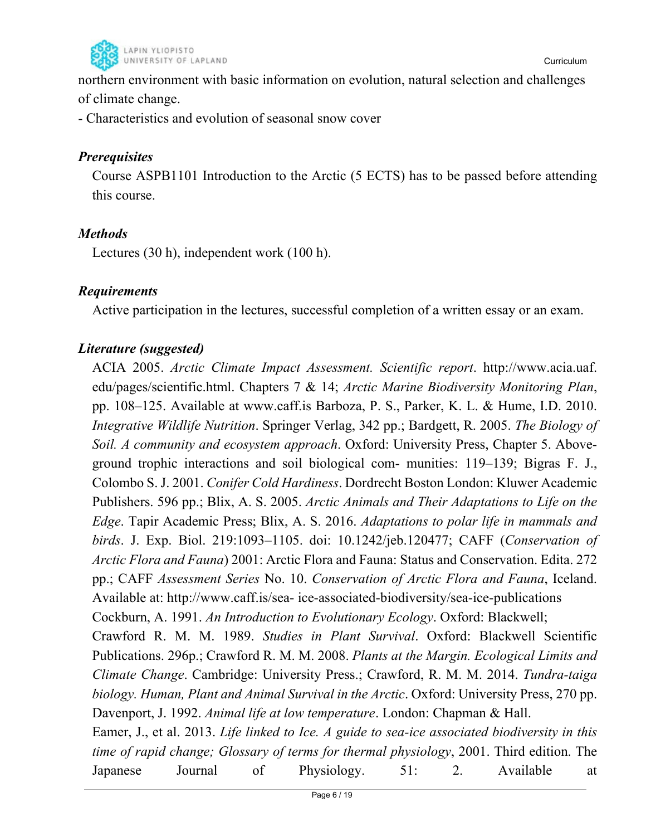

northern environment with basic information on evolution, natural selection and challenges of climate change.

- Characteristics and evolution of seasonal snow cover

### *Prerequisites*

Course ASPB1101 Introduction to the Arctic (5 ECTS) has to be passed before attending this course.

### *Methods*

Lectures (30 h), independent work (100 h).

### *Requirements*

Active participation in the lectures, successful completion of a written essay or an exam.

# *Literature (suggested)*

ACIA 2005. *Arctic Climate Impact Assessment. Scientific report*. http://www.acia.uaf. edu/pages/scientific.html. Chapters 7 & 14; *Arctic Marine Biodiversity Monitoring Plan*, pp. 108–125. Available at www.caff.is Barboza, P. S., Parker, K. L. & Hume, I.D. 2010. *Integrative Wildlife Nutrition*. Springer Verlag, 342 pp.; Bardgett, R. 2005. *The Biology of Soil. A community and ecosystem approach*. Oxford: University Press, Chapter 5. Aboveground trophic interactions and soil biological com- munities: 119–139; Bigras F. J., Colombo S. J. 2001. *Conifer Cold Hardiness*. Dordrecht Boston London: Kluwer Academic Publishers. 596 pp.; Blix, A. S. 2005. *Arctic Animals and Their Adaptations to Life on the Edge*. Tapir Academic Press; Blix, A. S. 2016. *Adaptations to polar life in mammals and birds*. J. Exp. Biol. 219:1093–1105. doi: 10.1242/jeb.120477; CAFF (*Conservation of Arctic Flora and Fauna*) 2001: Arctic Flora and Fauna: Status and Conservation. Edita. 272 pp.; CAFF *Assessment Series* No. 10. *Conservation of Arctic Flora and Fauna*, Iceland. Available at: http://www.caff.is/sea- ice-associated-biodiversity/sea-ice-publications Cockburn, A. 1991. *An Introduction to Evolutionary Ecology*. Oxford: Blackwell; Crawford R. M. M. 1989. *Studies in Plant Survival*. Oxford: Blackwell Scientific Publications. 296p.; Crawford R. M. M. 2008. *Plants at the Margin. Ecological Limits and Climate Change*. Cambridge: University Press.; Crawford, R. M. M. 2014. *Tundra-taiga biology. Human, Plant and Animal Survival in the Arctic*. Oxford: University Press, 270 pp. Davenport, J. 1992. *Animal life at low temperature*. London: Chapman & Hall. Eamer, J., et al. 2013. *Life linked to Ice. A guide to sea-ice associated biodiversity in this time of rapid change; Glossary of terms for thermal physiology*, 2001. Third edition. The Japanese Journal of Physiology. 51: 2. Available at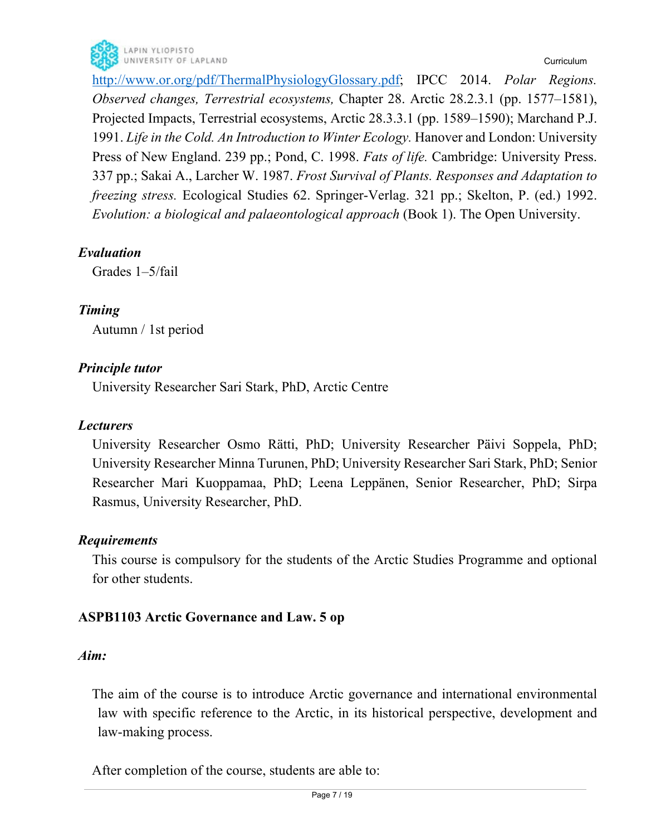http://www.or.org/pdf/ThermalPhysiologyGlossary.pdf; IPCC 2014. *Polar Regions. Observed changes, Terrestrial ecosystems,* Chapter 28. Arctic 28.2.3.1 (pp. 1577–1581), Projected Impacts, Terrestrial ecosystems, Arctic 28.3.3.1 (pp. 1589–1590); Marchand P.J. 1991. *Life in the Cold. An Introduction to Winter Ecology.* Hanover and London: University Press of New England. 239 pp.; Pond, C. 1998. *Fats of life.* Cambridge: University Press. 337 pp.; Sakai A., Larcher W. 1987. *Frost Survival of Plants. Responses and Adaptation to freezing stress.* Ecological Studies 62. Springer-Verlag. 321 pp.; Skelton, P. (ed.) 1992. *Evolution: a biological and palaeontological approach* (Book 1). The Open University.

# *Evaluation*

Grades 1–5/fail

# *Timing*

Autumn / 1st period

# *Principle tutor*

University Researcher Sari Stark, PhD, Arctic Centre

# *Lecturers*

University Researcher Osmo Rätti, PhD; University Researcher Päivi Soppela, PhD; University Researcher Minna Turunen, PhD; University Researcher Sari Stark, PhD; Senior Researcher Mari Kuoppamaa, PhD; Leena Leppänen, Senior Researcher, PhD; Sirpa Rasmus, University Researcher, PhD.

# *Requirements*

This course is compulsory for the students of the Arctic Studies Programme and optional for other students.

# **ASPB1103 Arctic Governance and Law. 5 op**

### *Aim:*

The aim of the course is to introduce Arctic governance and international environmental law with specific reference to the Arctic, in its historical perspective, development and law-making process.

After completion of the course, students are able to: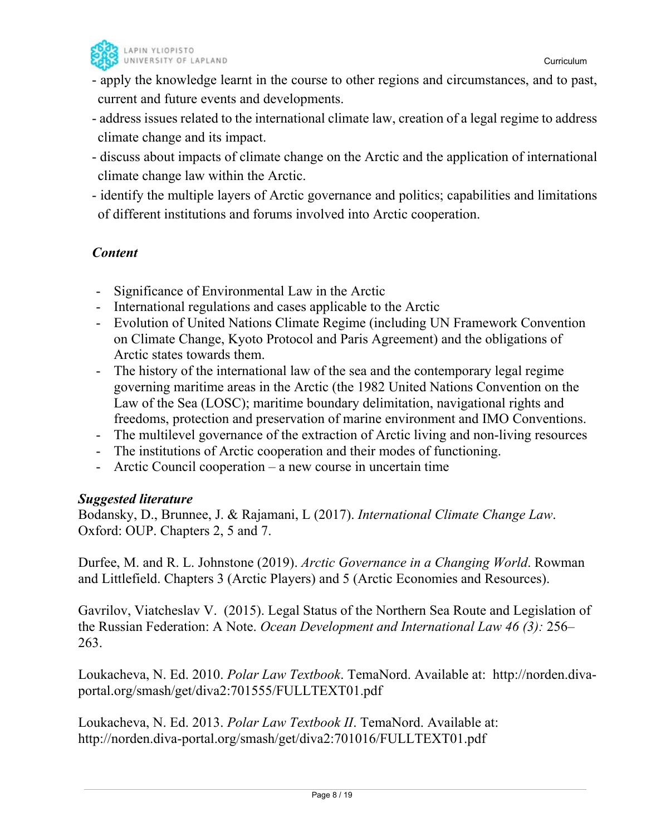

- apply the knowledge learnt in the course to other regions and circumstances, and to past, current and future events and developments.
- address issues related to the international climate law, creation of a legal regime to address climate change and its impact.
- discuss about impacts of climate change on the Arctic and the application of international climate change law within the Arctic.
- identify the multiple layers of Arctic governance and politics; capabilities and limitations of different institutions and forums involved into Arctic cooperation.

# *Content*

- Significance of Environmental Law in the Arctic
- International regulations and cases applicable to the Arctic
- Evolution of United Nations Climate Regime (including UN Framework Convention on Climate Change, Kyoto Protocol and Paris Agreement) and the obligations of Arctic states towards them.
- The history of the international law of the sea and the contemporary legal regime governing maritime areas in the Arctic (the 1982 United Nations Convention on the Law of the Sea (LOSC); maritime boundary delimitation, navigational rights and freedoms, protection and preservation of marine environment and IMO Conventions.
- The multilevel governance of the extraction of Arctic living and non-living resources
- The institutions of Arctic cooperation and their modes of functioning.
- Arctic Council cooperation a new course in uncertain time

### *Suggested literature*

Bodansky, D., Brunnee, J. & Rajamani, L (2017). *International Climate Change Law*. Oxford: OUP. Chapters 2, 5 and 7.

Durfee, M. and R. L. Johnstone (2019). *Arctic Governance in a Changing World*. Rowman and Littlefield. Chapters 3 (Arctic Players) and 5 (Arctic Economies and Resources).

Gavrilov, Viatcheslav V. (2015). Legal Status of the Northern Sea Route and Legislation of the Russian Federation: A Note. *Ocean Development and International Law 46 (3):* 256– 263.

Loukacheva, N. Ed. 2010. *Polar Law Textbook*. TemaNord. Available at: http://norden.divaportal.org/smash/get/diva2:701555/FULLTEXT01.pdf

Loukacheva, N. Ed. 2013. *Polar Law Textbook II*. TemaNord. Available at: http://norden.diva-portal.org/smash/get/diva2:701016/FULLTEXT01.pdf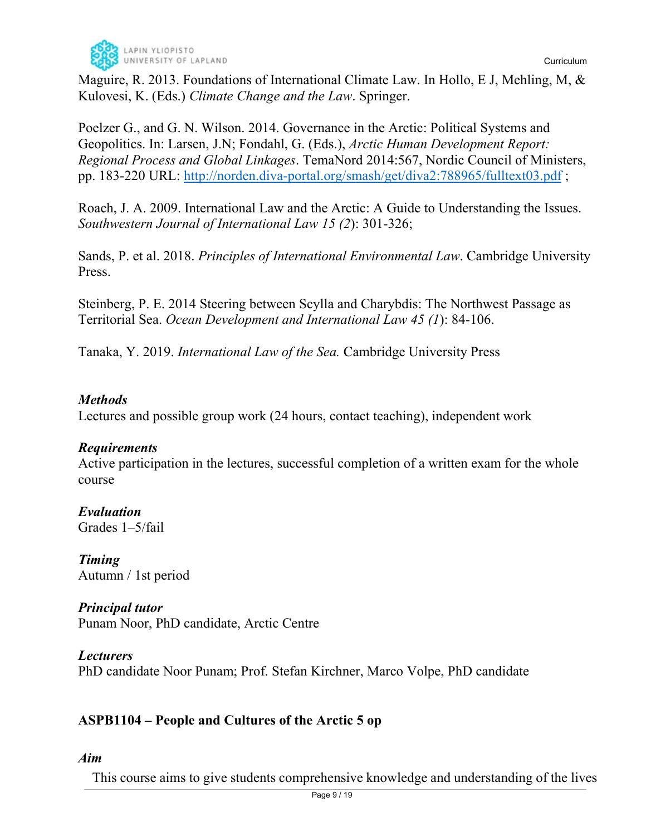

Maguire, R. 2013. Foundations of International Climate Law. In Hollo, E J, Mehling, M, & Kulovesi, K. (Eds.) *Climate Change and the Law*. Springer.

Poelzer G., and G. N. Wilson. 2014. Governance in the Arctic: Political Systems and Geopolitics. In: Larsen, J.N; Fondahl, G. (Eds.), *Arctic Human Development Report: Regional Process and Global Linkages*. TemaNord 2014:567, Nordic Council of Ministers, pp. 183-220 URL: http://norden.diva-portal.org/smash/get/diva2:788965/fulltext03.pdf ;

Roach, J. A. 2009. International Law and the Arctic: A Guide to Understanding the Issues. *Southwestern Journal of International Law 15 (2*): 301-326;

Sands, P. et al. 2018. *Principles of International Environmental Law*. Cambridge University Press.

Steinberg, P. E. 2014 Steering between Scylla and Charybdis: The Northwest Passage as Territorial Sea. *Ocean Development and International Law 45 (1*): 84-106.

Tanaka, Y. 2019. *International Law of the Sea.* Cambridge University Press

### *Methods*

Lectures and possible group work (24 hours, contact teaching), independent work

### *Requirements*

Active participation in the lectures, successful completion of a written exam for the whole course

*Evaluation*  Grades 1–5/fail

*Timing*  Autumn / 1st period

*Principal tutor*  Punam Noor, PhD candidate, Arctic Centre

*Lecturers*  PhD candidate Noor Punam; Prof. Stefan Kirchner, Marco Volpe, PhD candidate

# **ASPB1104 – People and Cultures of the Arctic 5 op**

*Aim* 

This course aims to give students comprehensive knowledge and understanding of the lives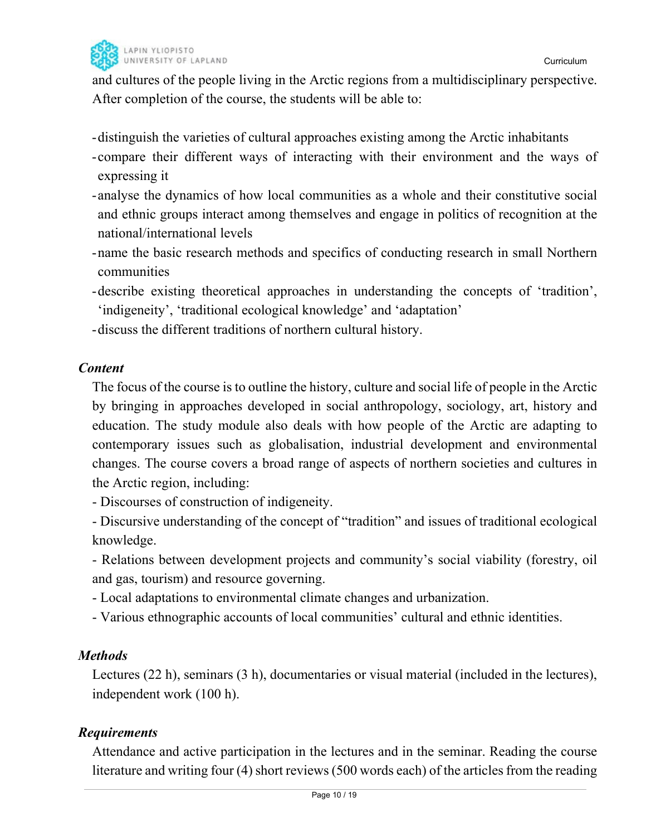

and cultures of the people living in the Arctic regions from a multidisciplinary perspective. After completion of the course, the students will be able to:

- distinguish the varieties of cultural approaches existing among the Arctic inhabitants

- compare their different ways of interacting with their environment and the ways of expressing it
- analyse the dynamics of how local communities as a whole and their constitutive social and ethnic groups interact among themselves and engage in politics of recognition at the national/international levels
- name the basic research methods and specifics of conducting research in small Northern communities
- describe existing theoretical approaches in understanding the concepts of 'tradition', 'indigeneity', 'traditional ecological knowledge' and 'adaptation'
- discuss the different traditions of northern cultural history.

### *Content*

The focus of the course is to outline the history, culture and social life of people in the Arctic by bringing in approaches developed in social anthropology, sociology, art, history and education. The study module also deals with how people of the Arctic are adapting to contemporary issues such as globalisation, industrial development and environmental changes. The course covers a broad range of aspects of northern societies and cultures in the Arctic region, including:

- Discourses of construction of indigeneity.

- Discursive understanding of the concept of "tradition" and issues of traditional ecological knowledge.

- Relations between development projects and community's social viability (forestry, oil and gas, tourism) and resource governing.

- Local adaptations to environmental climate changes and urbanization.

- Various ethnographic accounts of local communities' cultural and ethnic identities.

### *Methods*

Lectures (22 h), seminars (3 h), documentaries or visual material (included in the lectures), independent work (100 h).

# *Requirements*

Attendance and active participation in the lectures and in the seminar. Reading the course literature and writing four (4) short reviews (500 words each) of the articles from the reading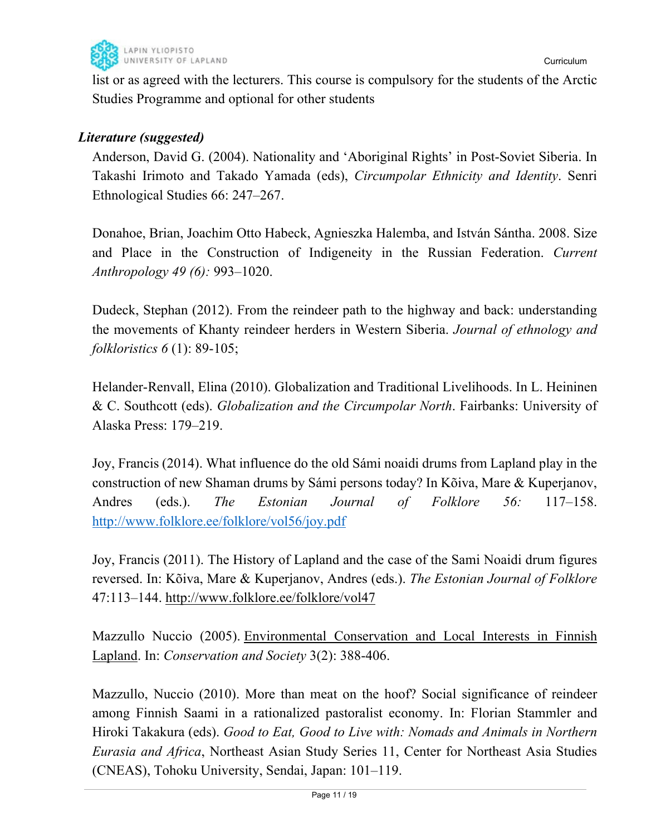

list or as agreed with the lecturers. This course is compulsory for the students of the Arctic Studies Programme and optional for other students

# *Literature (suggested)*

Anderson, David G. (2004). Nationality and 'Aboriginal Rights' in Post-Soviet Siberia. In Takashi Irimoto and Takado Yamada (eds), *Circumpolar Ethnicity and Identity*. Senri Ethnological Studies 66: 247–267.

Donahoe, Brian, Joachim Otto Habeck, Agnieszka Halemba, and István Sántha. 2008. Size and Place in the Construction of Indigeneity in the Russian Federation. *Current Anthropology 49 (6):* 993–1020.

Dudeck, Stephan (2012). From the reindeer path to the highway and back: understanding the movements of Khanty reindeer herders in Western Siberia. *Journal of ethnology and folkloristics 6* (1): 89-105;

Helander-Renvall, Elina (2010). Globalization and Traditional Livelihoods. In L. Heininen & C. Southcott (eds). *Globalization and the Circumpolar North*. Fairbanks: University of Alaska Press: 179–219.

Joy, Francis (2014). What influence do the old Sámi noaidi drums from Lapland play in the construction of new Shaman drums by Sámi persons today? In Kõiva, Mare & Kuperjanov, Andres (eds.). *The Estonian Journal of Folklore 56:* 117–158. http://www.folklore.ee/folklore/vol56/joy.pdf

Joy, Francis (2011). The History of Lapland and the case of the Sami Noaidi drum figures reversed. In: Kõiva, Mare & Kuperjanov, Andres (eds.). *The Estonian Journal of Folklore* 47:113–144. http://www.folklore.ee/folklore/vol47

Mazzullo Nuccio (2005). Environmental Conservation and Local Interests in Finnish Lapland. In: *Conservation and Society* 3(2): 388-406.

Mazzullo, Nuccio (2010). More than meat on the hoof? Social significance of reindeer among Finnish Saami in a rationalized pastoralist economy. In: Florian Stammler and Hiroki Takakura (eds). *Good to Eat, Good to Live with: Nomads and Animals in Northern Eurasia and Africa*, Northeast Asian Study Series 11, Center for Northeast Asia Studies (CNEAS), Tohoku University, Sendai, Japan: 101–119.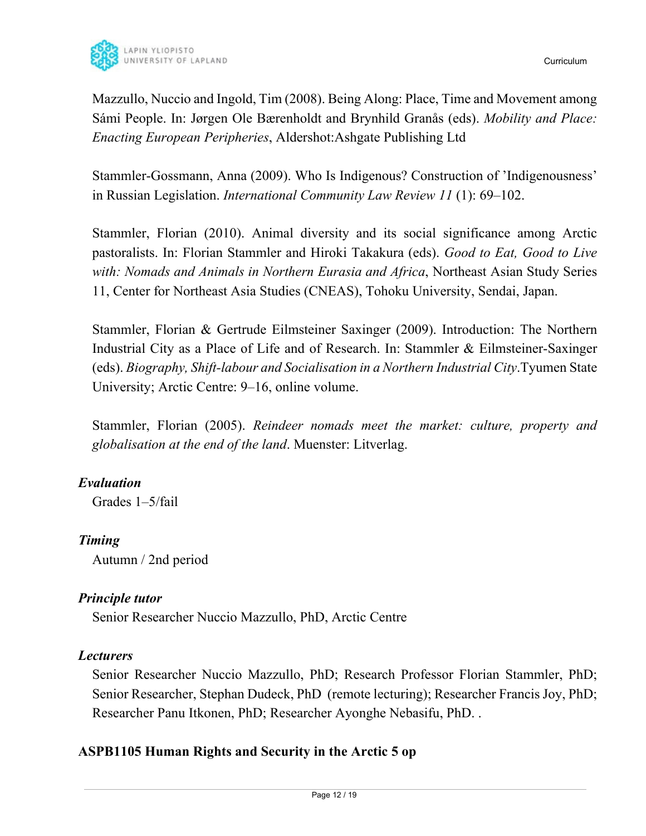

Mazzullo, Nuccio and Ingold, Tim (2008). Being Along: Place, Time and Movement among Sámi People. In: Jørgen Ole Bærenholdt and Brynhild Granås (eds). *Mobility and Place: Enacting European Peripheries*, Aldershot:Ashgate Publishing Ltd

Stammler-Gossmann, Anna (2009). Who Is Indigenous? Construction of 'Indigenousness' in Russian Legislation. *International Community Law Review 11* (1): 69–102.

Stammler, Florian (2010). Animal diversity and its social significance among Arctic pastoralists. In: Florian Stammler and Hiroki Takakura (eds). *Good to Eat, Good to Live with: Nomads and Animals in Northern Eurasia and Africa*, Northeast Asian Study Series 11, Center for Northeast Asia Studies (CNEAS), Tohoku University, Sendai, Japan.

Stammler, Florian & Gertrude Eilmsteiner Saxinger (2009). Introduction: The Northern Industrial City as a Place of Life and of Research. In: Stammler & Eilmsteiner-Saxinger (eds). *Biography, Shift-labour and Socialisation in a Northern Industrial City*.Tyumen State University; Arctic Centre: 9–16, online volume.

Stammler, Florian (2005). *Reindeer nomads meet the market: culture, property and globalisation at the end of the land*. Muenster: Litverlag.

# *Evaluation*

Grades 1–5/fail

### *Timing*

Autumn / 2nd period

### *Principle tutor*

Senior Researcher Nuccio Mazzullo, PhD, Arctic Centre

### *Lecturers*

Senior Researcher Nuccio Mazzullo, PhD; Research Professor Florian Stammler, PhD; Senior Researcher, Stephan Dudeck, PhD (remote lecturing); Researcher Francis Joy, PhD; Researcher Panu Itkonen, PhD; Researcher Ayonghe Nebasifu, PhD. .

# **ASPB1105 Human Rights and Security in the Arctic 5 op**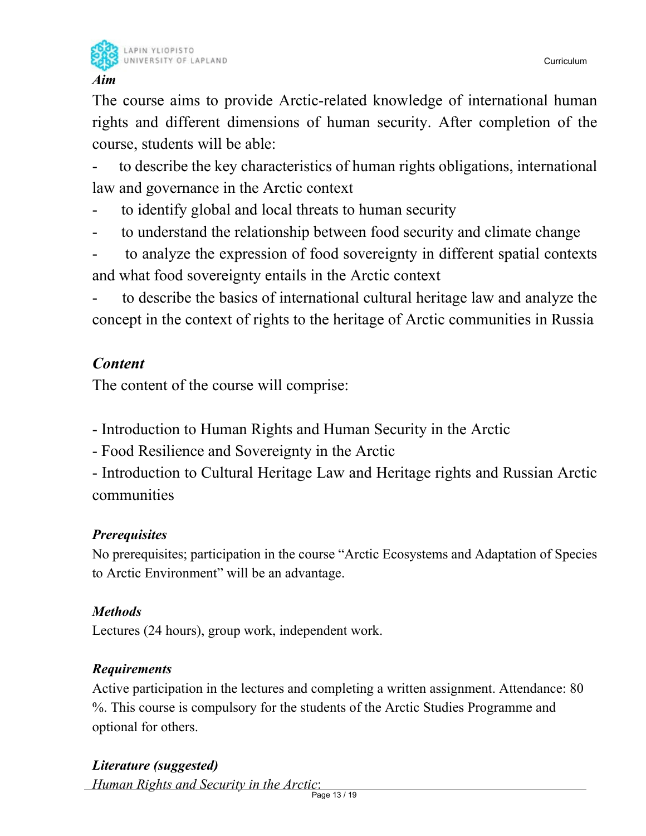

LAPIN YLIOPISTO UNIVERSITY OF LAPLAND

### *Aim*

The course aims to provide Arctic-related knowledge of international human rights and different dimensions of human security. After completion of the course, students will be able:

to describe the key characteristics of human rights obligations, international law and governance in the Arctic context

- to identify global and local threats to human security
- to understand the relationship between food security and climate change
- to analyze the expression of food sovereignty in different spatial contexts and what food sovereignty entails in the Arctic context

to describe the basics of international cultural heritage law and analyze the concept in the context of rights to the heritage of Arctic communities in Russia

# *Content*

The content of the course will comprise:

- Introduction to Human Rights and Human Security in the Arctic
- Food Resilience and Sovereignty in the Arctic

- Introduction to Cultural Heritage Law and Heritage rights and Russian Arctic communities

# *Prerequisites*

No prerequisites; participation in the course "Arctic Ecosystems and Adaptation of Species to Arctic Environment" will be an advantage.

# *Methods*

Lectures (24 hours), group work, independent work.

# *Requirements*

Active participation in the lectures and completing a written assignment. Attendance: 80 %. This course is compulsory for the students of the Arctic Studies Programme and optional for others.

# *Literature (suggested)*

*Human Rights and Security in the Arctic*: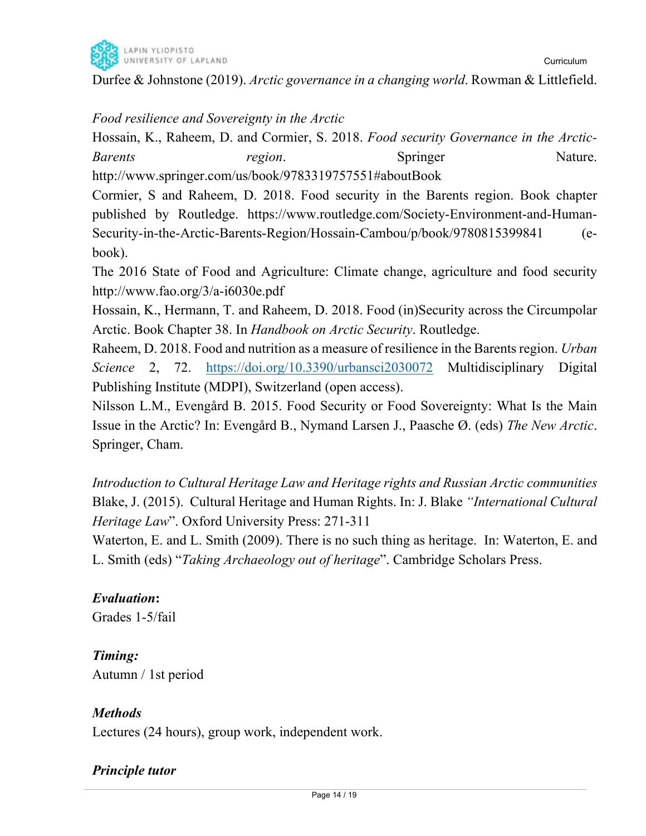

Curriculum

### *Food resilience and Sovereignty in the Arctic*

Hossain, K., Raheem, D. and Cormier, S. 2018. *Food security Governance in the Arctic-Barents region*. Springer Nature. http://www.springer.com/us/book/9783319757551#aboutBook

Cormier, S and Raheem, D. 2018. Food security in the Barents region. Book chapter published by Routledge. https://www.routledge.com/Society-Environment-and-Human-Security-in-the-Arctic-Barents-Region/Hossain-Cambou/p/book/9780815399841 (ebook).

The 2016 State of Food and Agriculture: Climate change, agriculture and food security http://www.fao.org/3/a-i6030e.pdf

Hossain, K., Hermann, T. and Raheem, D. 2018. Food (in)Security across the Circumpolar Arctic. Book Chapter 38. In *Handbook on Arctic Security*. Routledge.

Raheem, D. 2018. Food and nutrition as a measure of resilience in the Barents region. *Urban Science* 2, 72. https://doi.org/10.3390/urbansci2030072 Multidisciplinary Digital Publishing Institute (MDPI), Switzerland (open access).

Nilsson L.M., Evengård B. 2015. Food Security or Food Sovereignty: What Is the Main Issue in the Arctic? In: Evengård B., Nymand Larsen J., Paasche Ø. (eds) *The New Arctic*. Springer, Cham.

*Introduction to Cultural Heritage Law and Heritage rights and Russian Arctic communities*  Blake, J. (2015). Cultural Heritage and Human Rights. In: J. Blake *"International Cultural Heritage Law*". Oxford University Press: 271-311

Waterton, E. and L. Smith (2009). There is no such thing as heritage. In: Waterton, E. and L. Smith (eds) "*Taking Archaeology out of heritage*". Cambridge Scholars Press.

# *Evaluation***:**

Grades 1-5/fail

# *Timing:*

Autumn / 1st period

# *Methods*

Lectures (24 hours), group work, independent work.

# *Principle tutor*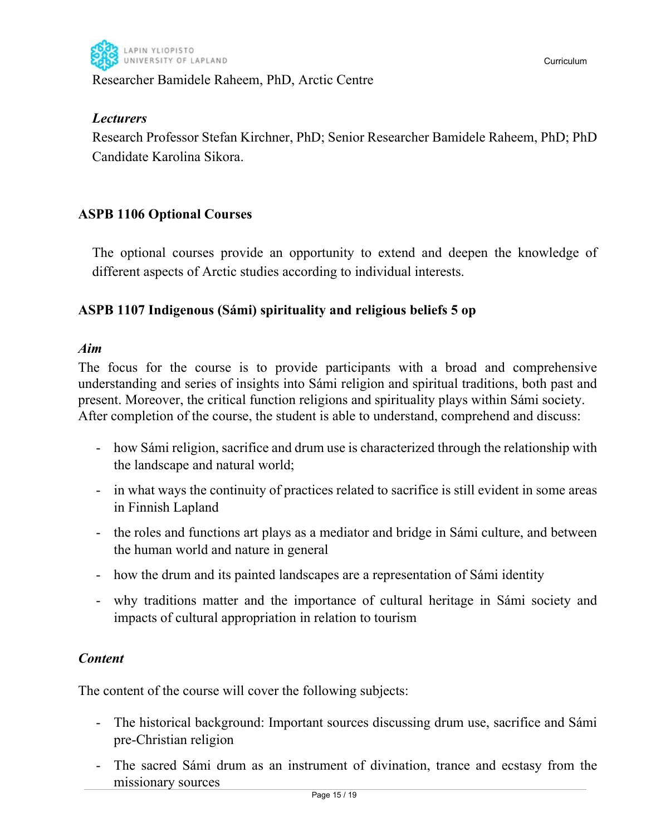

### Researcher Bamidele Raheem, PhD, Arctic Centre

### *Lecturers*

Research Professor Stefan Kirchner, PhD; Senior Researcher Bamidele Raheem, PhD; PhD Candidate Karolina Sikora.

# **ASPB 1106 Optional Courses**

The optional courses provide an opportunity to extend and deepen the knowledge of different aspects of Arctic studies according to individual interests.

### **ASPB 1107 Indigenous (Sámi) spirituality and religious beliefs 5 op**

### *Aim*

The focus for the course is to provide participants with a broad and comprehensive understanding and series of insights into Sámi religion and spiritual traditions, both past and present. Moreover, the critical function religions and spirituality plays within Sámi society. After completion of the course, the student is able to understand, comprehend and discuss:

- how Sámi religion, sacrifice and drum use is characterized through the relationship with the landscape and natural world;
- in what ways the continuity of practices related to sacrifice is still evident in some areas in Finnish Lapland
- the roles and functions art plays as a mediator and bridge in Sámi culture, and between the human world and nature in general
- how the drum and its painted landscapes are a representation of Sámi identity
- why traditions matter and the importance of cultural heritage in Sámi society and impacts of cultural appropriation in relation to tourism

### *Content*

The content of the course will cover the following subjects:

- The historical background: Important sources discussing drum use, sacrifice and Sámi pre-Christian religion
- The sacred Sámi drum as an instrument of divination, trance and ecstasy from the missionary sources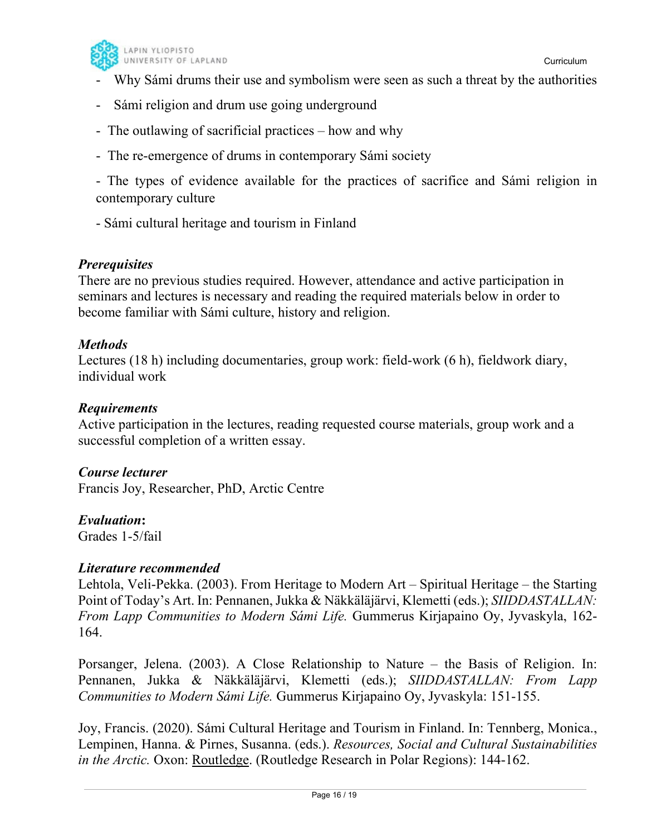

- Why Sámi drums their use and symbolism were seen as such a threat by the authorities
- Sámi religion and drum use going underground
- The outlawing of sacrificial practices how and why
- The re-emergence of drums in contemporary Sámi society

- The types of evidence available for the practices of sacrifice and Sámi religion in contemporary culture

- Sámi cultural heritage and tourism in Finland

### *Prerequisites*

There are no previous studies required. However, attendance and active participation in seminars and lectures is necessary and reading the required materials below in order to become familiar with Sámi culture, history and religion.

### *Methods*

Lectures (18 h) including documentaries, group work: field-work (6 h), fieldwork diary, individual work

### *Requirements*

Active participation in the lectures, reading requested course materials, group work and a successful completion of a written essay.

### *Course lecturer*

Francis Joy, Researcher, PhD, Arctic Centre

### *Evaluation***:**

Grades 1-5/fail

### *Literature recommended*

Lehtola, Veli-Pekka. (2003). From Heritage to Modern Art – Spiritual Heritage – the Starting Point of Today's Art. In: Pennanen, Jukka & Näkkäläjärvi, Klemetti (eds.); *SIIDDASTALLAN: From Lapp Communities to Modern Sámi Life.* Gummerus Kirjapaino Oy, Jyvaskyla, 162- 164.

Porsanger, Jelena. (2003). A Close Relationship to Nature – the Basis of Religion. In: Pennanen, Jukka & Näkkäläjärvi, Klemetti (eds.); *SIIDDASTALLAN: From Lapp Communities to Modern Sámi Life.* Gummerus Kirjapaino Oy, Jyvaskyla: 151-155.

Joy, Francis. (2020). Sámi Cultural Heritage and Tourism in Finland. In: Tennberg, Monica., Lempinen, Hanna. & Pirnes, Susanna. (eds.). *Resources, Social and Cultural Sustainabilities in the Arctic.* Oxon: Routledge. (Routledge Research in Polar Regions): 144-162.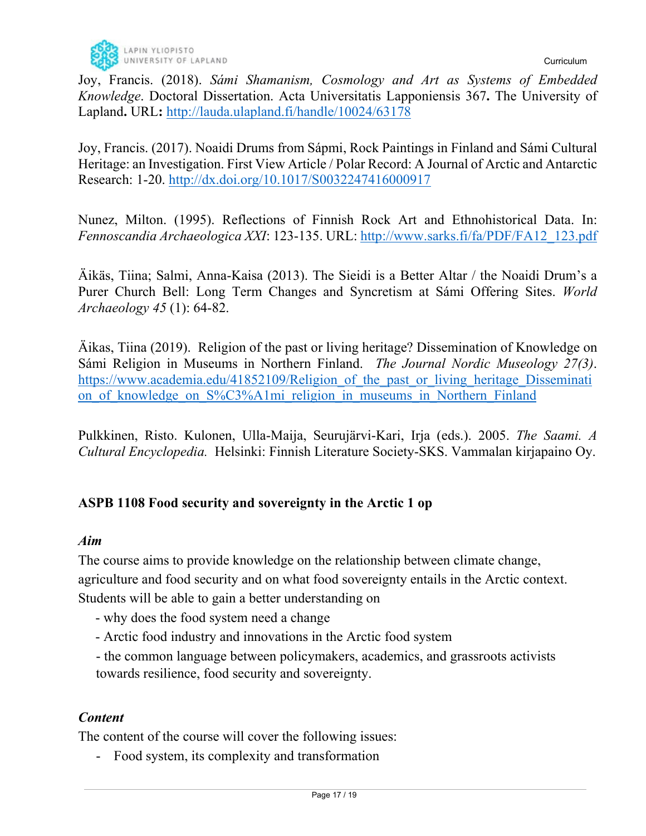Joy, Francis. (2018). *Sámi Shamanism, Cosmology and Art as Systems of Embedded Knowledge*. Doctoral Dissertation. Acta Universitatis Lapponiensis 367**.** The University of Lapland**.** URL**:** http://lauda.ulapland.fi/handle/10024/63178

Joy, Francis. (2017). Noaidi Drums from Sápmi, Rock Paintings in Finland and Sámi Cultural Heritage: an Investigation. First View Article / Polar Record: A Journal of Arctic and Antarctic Research: 1-20. http://dx.doi.org/10.1017/S0032247416000917

Nunez, Milton. (1995). Reflections of Finnish Rock Art and Ethnohistorical Data. In: *Fennoscandia Archaeologica XXI*: 123-135. URL: http://www.sarks.fi/fa/PDF/FA12\_123.pdf

Äikäs, Tiina; Salmi, Anna-Kaisa (2013). The Sieidi is a Better Altar / the Noaidi Drum's a Purer Church Bell: Long Term Changes and Syncretism at Sámi Offering Sites. *World Archaeology 45* (1): 64-82.

Äikas, Tiina (2019). Religion of the past or living heritage? Dissemination of Knowledge on Sámi Religion in Museums in Northern Finland. *The Journal Nordic Museology 27(3)*. https://www.academia.edu/41852109/Religion of the past or living heritage Disseminati on of knowledge on S%C3%A1mi religion in museums in Northern Finland

Pulkkinen, Risto. Kulonen, Ulla-Maija, Seurujärvi-Kari, Irja (eds.). 2005. *The Saami. A Cultural Encyclopedia.* Helsinki: Finnish Literature Society-SKS. Vammalan kirjapaino Oy.

### **ASPB 1108 Food security and sovereignty in the Arctic 1 op**

### *Aim*

The course aims to provide knowledge on the relationship between climate change, agriculture and food security and on what food sovereignty entails in the Arctic context. Students will be able to gain a better understanding on

- why does the food system need a change
- Arctic food industry and innovations in the Arctic food system
- the common language between policymakers, academics, and grassroots activists towards resilience, food security and sovereignty.

# *Content*

The content of the course will cover the following issues:

- Food system, its complexity and transformation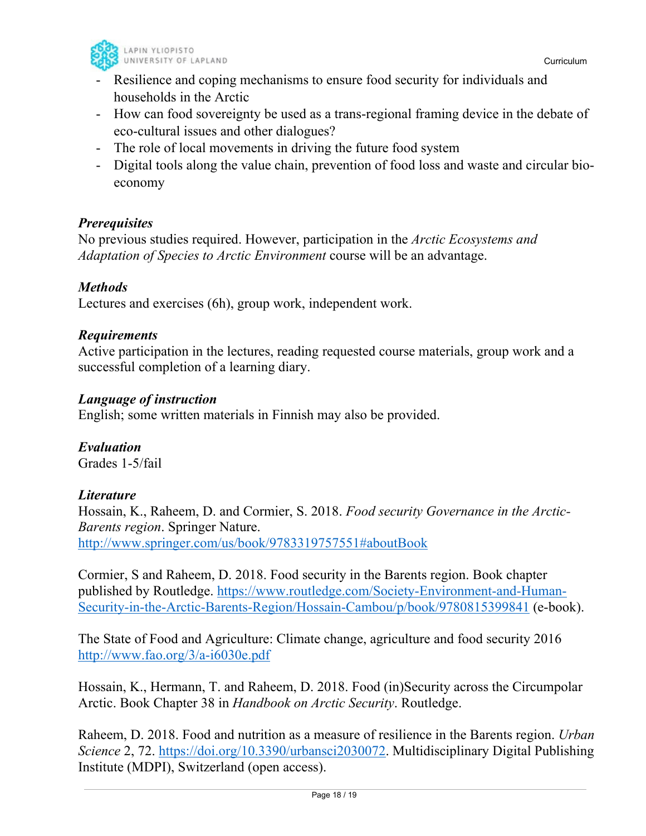

- Resilience and coping mechanisms to ensure food security for individuals and households in the Arctic
- How can food sovereignty be used as a trans-regional framing device in the debate of eco-cultural issues and other dialogues?
- The role of local movements in driving the future food system
- Digital tools along the value chain, prevention of food loss and waste and circular bioeconomy

### *Prerequisites*

No previous studies required. However, participation in the *Arctic Ecosystems and Adaptation of Species to Arctic Environment* course will be an advantage.

### *Methods*

Lectures and exercises (6h), group work, independent work.

### *Requirements*

Active participation in the lectures, reading requested course materials, group work and a successful completion of a learning diary.

### *Language of instruction*

English; some written materials in Finnish may also be provided.

*Evaluation* Grades 1-5/fail

### *Literature*

Hossain, K., Raheem, D. and Cormier, S. 2018. *Food security Governance in the Arctic-Barents region*. Springer Nature. http://www.springer.com/us/book/9783319757551#aboutBook

Cormier, S and Raheem, D. 2018. Food security in the Barents region. Book chapter published by Routledge. https://www.routledge.com/Society-Environment-and-Human-Security-in-the-Arctic-Barents-Region/Hossain-Cambou/p/book/9780815399841 (e-book).

The State of Food and Agriculture: Climate change, agriculture and food security 2016 http://www.fao.org/3/a-i6030e.pdf

Hossain, K., Hermann, T. and Raheem, D. 2018. Food (in)Security across the Circumpolar Arctic. Book Chapter 38 in *Handbook on Arctic Security*. Routledge.

Raheem, D. 2018. Food and nutrition as a measure of resilience in the Barents region. *Urban Science* 2, 72. https://doi.org/10.3390/urbansci2030072. Multidisciplinary Digital Publishing Institute (MDPI), Switzerland (open access).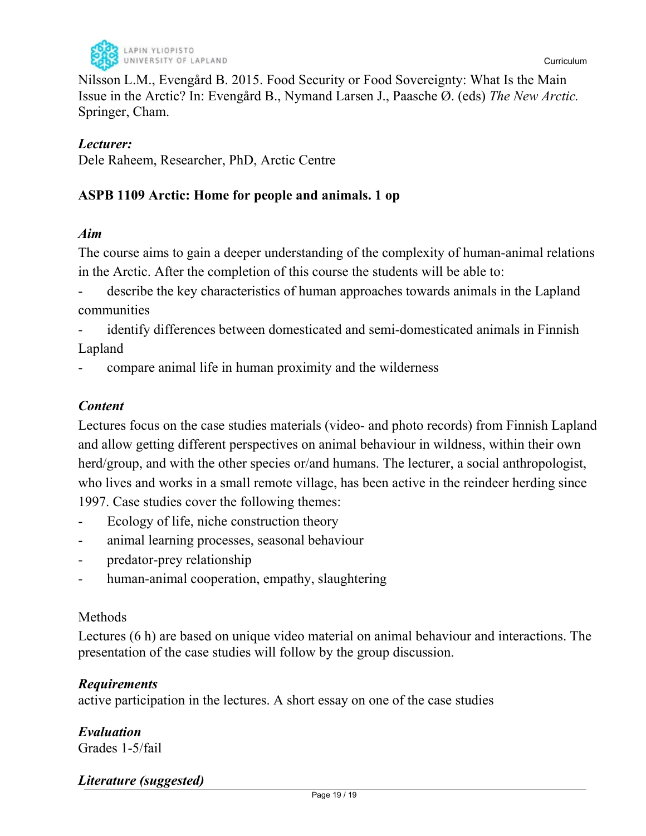

Nilsson L.M., Evengård B. 2015. Food Security or Food Sovereignty: What Is the Main Issue in the Arctic? In: Evengård B., Nymand Larsen J., Paasche Ø. (eds) *The New Arctic.* Springer, Cham.

### *Lecturer:*

Dele Raheem, Researcher, PhD, Arctic Centre

### **ASPB 1109 Arctic: Home for people and animals. 1 op**

### *Aim*

The course aims to gain a deeper understanding of the complexity of human-animal relations in the Arctic. After the completion of this course the students will be able to:

describe the key characteristics of human approaches towards animals in the Lapland communities

identify differences between domesticated and semi-domesticated animals in Finnish Lapland

- compare animal life in human proximity and the wilderness

### *Content*

Lectures focus on the case studies materials (video- and photo records) from Finnish Lapland and allow getting different perspectives on animal behaviour in wildness, within their own herd/group, and with the other species or/and humans. The lecturer, a social anthropologist, who lives and works in a small remote village, has been active in the reindeer herding since 1997. Case studies cover the following themes:

- Ecology of life, niche construction theory
- animal learning processes, seasonal behaviour
- predator-prey relationship
- human-animal cooperation, empathy, slaughtering

### Methods

Lectures (6 h) are based on unique video material on animal behaviour and interactions. The presentation of the case studies will follow by the group discussion.

### *Requirements*

active participation in the lectures. A short essay on one of the case studies

#### *Evaluation* Grades 1-5/fail

### *Literature (suggested)*